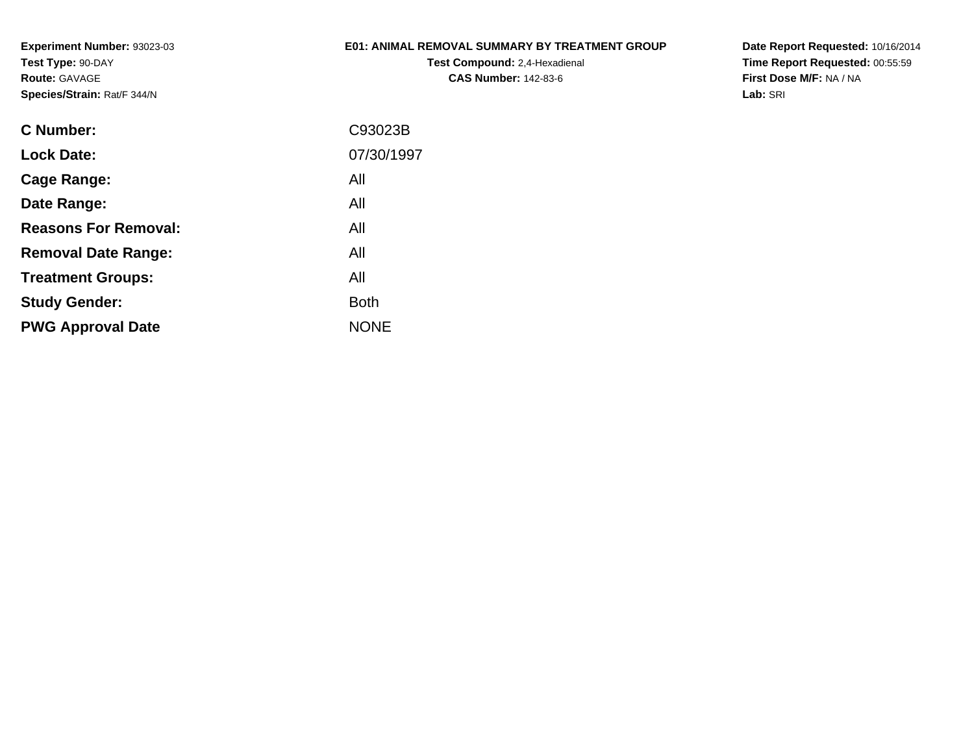### **E01: ANIMAL REMOVAL SUMMARY BY TREATMENT GROUP**

**Test Compound:** 2,4-Hexadienal **CAS Number:** 142-83-6

**Date Report Requested:** 10/16/2014 **Time Report Requested:** 00:55:59**First Dose M/F:** NA / NA**Lab:** SRI

| C93023B     |
|-------------|
| 07/30/1997  |
| All         |
| All         |
| All         |
| All         |
| All         |
| <b>Both</b> |
| <b>NONE</b> |
|             |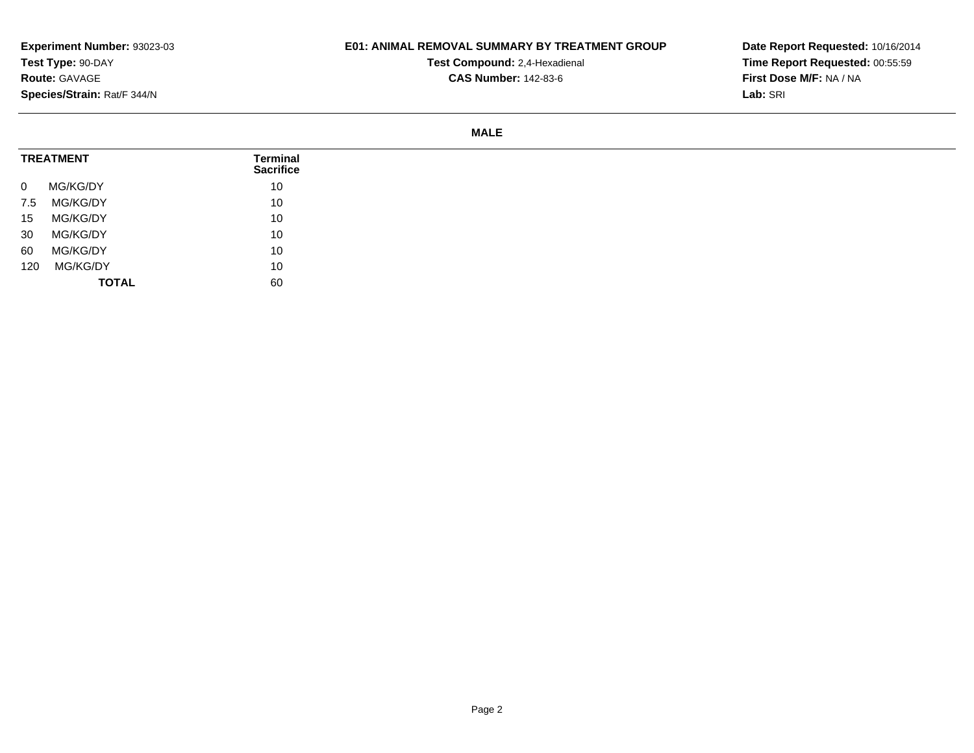# **E01: ANIMAL REMOVAL SUMMARY BY TREATMENT GROUP**

**Test Compound:** 2,4-Hexadienal **CAS Number:** 142-83-6

**Date Report Requested:** 10/16/2014**Time Report Requested:** 00:55:59**First Dose M/F:** NA / NA**Lab:** SRI

#### **MALE**

| <b>TREATMENT</b>        | Terminal<br><b>Sacrifice</b> |  |
|-------------------------|------------------------------|--|
| MG/KG/DY<br>$\mathbf 0$ | 10                           |  |
| MG/KG/DY<br>7.5         | 10                           |  |
| MG/KG/DY<br>15          | 10                           |  |
| MG/KG/DY<br>30          | 10                           |  |
| MG/KG/DY<br>60          | 10                           |  |
| MG/KG/DY<br>120         | 10                           |  |
|                         | <b>TOTAL</b><br>60           |  |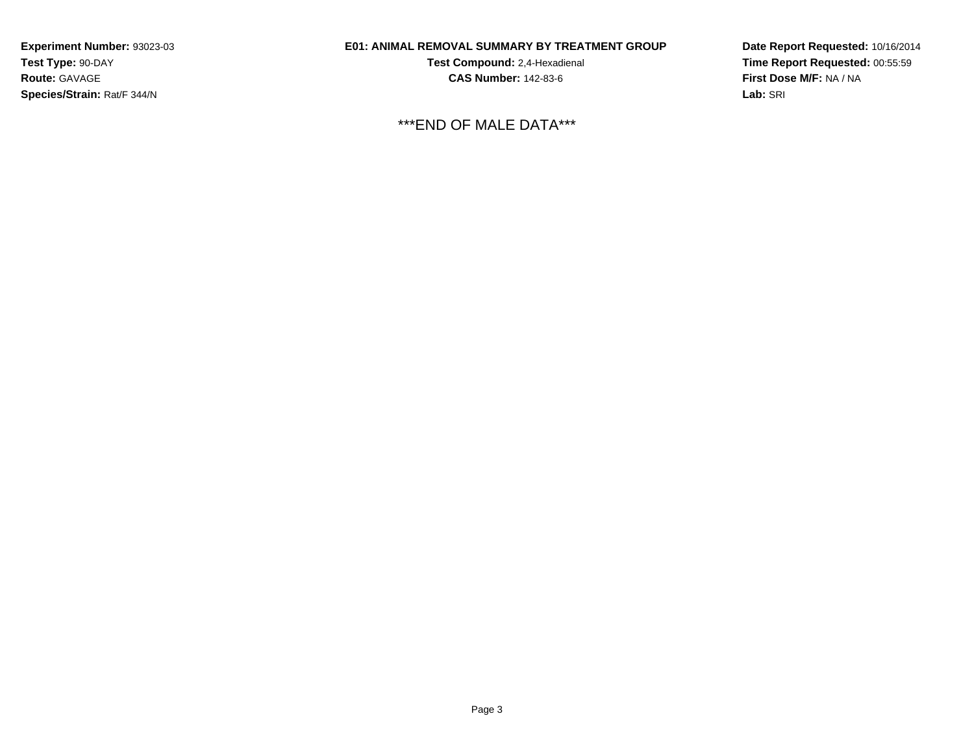### **E01: ANIMAL REMOVAL SUMMARY BY TREATMENT GROUP**

**Test Compound:** 2,4-Hexadienal **CAS Number:** 142-83-6

\*\*\*END OF MALE DATA\*\*\*

**Date Report Requested:** 10/16/2014**Time Report Requested:** 00:55:59**First Dose M/F:** NA / NA**Lab:** SRI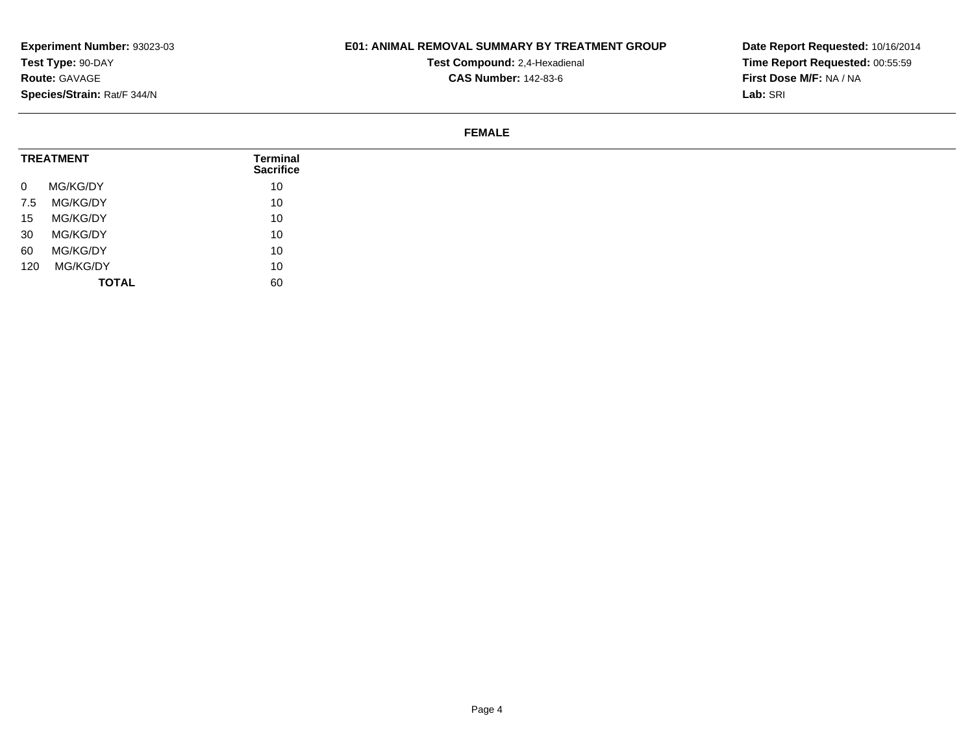# **E01: ANIMAL REMOVAL SUMMARY BY TREATMENT GROUP**

**Test Compound:** 2,4-Hexadienal **CAS Number:** 142-83-6

**Date Report Requested:** 10/16/2014**Time Report Requested:** 00:55:59**First Dose M/F:** NA / NA**Lab:** SRI

#### **FEMALE**

| <b>TREATMENT</b>         | Terminal<br><b>Sacrifice</b> |
|--------------------------|------------------------------|
| MG/KG/DY<br>$\mathbf{0}$ | 10                           |
| MG/KG/DY<br>7.5          | 10                           |
| MG/KG/DY<br>15           | 10                           |
| MG/KG/DY<br>30           | 10                           |
| MG/KG/DY<br>60           | 10                           |
| MG/KG/DY<br>120          | 10                           |
| <b>TOTAL</b>             | 60                           |